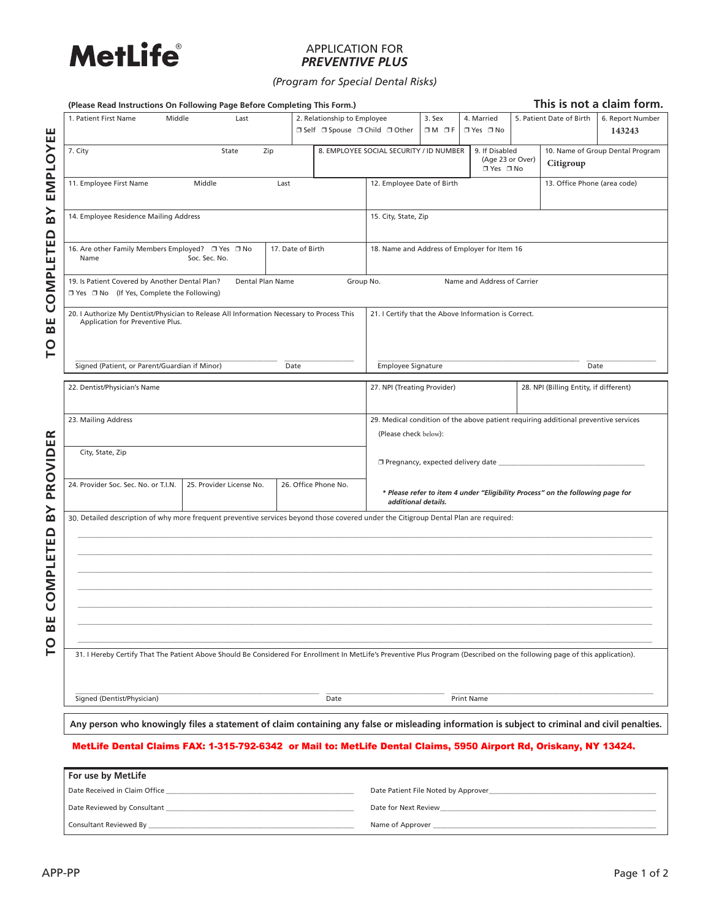

# APPLICATION FOR *PREVENTIVE PLUS*

*(Program for Special Dental Risks)*

|                                          | (Please Read Instructions On Following Page Before Completing This Form.)                                                                                                   |                                                       |      |                                 |                                                                                                       |           |                             | This is not a claim form.                                                       |                                                                                     |                  |  |
|------------------------------------------|-----------------------------------------------------------------------------------------------------------------------------------------------------------------------------|-------------------------------------------------------|------|---------------------------------|-------------------------------------------------------------------------------------------------------|-----------|-----------------------------|---------------------------------------------------------------------------------|-------------------------------------------------------------------------------------|------------------|--|
|                                          | 1. Patient First Name                                                                                                                                                       | 2. Relationship to Employee<br>Middle<br>Last         |      |                                 |                                                                                                       | 3. Sex    | 4. Married                  |                                                                                 | 5. Patient Date of Birth                                                            | 6. Report Number |  |
| ш<br>Щ                                   |                                                                                                                                                                             |                                                       |      | □ Self □ Spouse □ Child □ Other |                                                                                                       | $OM$ $DF$ | □ Yes □ No                  |                                                                                 |                                                                                     | 143243           |  |
| EMPLOY                                   | 7. City<br>State<br>Zip                                                                                                                                                     |                                                       |      |                                 | 8. EMPLOYEE SOCIAL SECURITY / ID NUMBER<br>9. If Disabled                                             |           |                             | 10. Name of Group Dental Program<br>(Age 23 or Over)<br>Citigroup<br>□ Yes □ No |                                                                                     |                  |  |
|                                          | 11. Employee First Name                                                                                                                                                     | Middle                                                | Last |                                 | 12. Employee Date of Birth                                                                            |           |                             |                                                                                 | 13. Office Phone (area code)                                                        |                  |  |
| ≻<br>$\overline{\mathbf{a}}$<br>$\Omega$ | 14. Employee Residence Mailing Address                                                                                                                                      |                                                       |      |                                 | 15. City, State, Zip                                                                                  |           |                             |                                                                                 |                                                                                     |                  |  |
|                                          | 17. Date of Birth<br>16. Are other Family Members Employed? □ Yes □ No<br>Name<br>Soc. Sec. No.                                                                             |                                                       |      |                                 | 18. Name and Address of Employer for Item 16                                                          |           |                             |                                                                                 |                                                                                     |                  |  |
| OMPLETE                                  | 19. Is Patient Covered by Another Dental Plan?<br>□ Yes □ No (If Yes, Complete the Following)                                                                               | Dental Plan Name                                      |      | Group No.                       |                                                                                                       |           | Name and Address of Carrier |                                                                                 |                                                                                     |                  |  |
| Ū<br>ш<br>$\boldsymbol{\omega}$          | 20. I Authorize My Dentist/Physician to Release All Information Necessary to Process This<br>Application for Preventive Plus.                                               |                                                       |      |                                 | 21. I Certify that the Above Information is Correct.                                                  |           |                             |                                                                                 |                                                                                     |                  |  |
| p                                        |                                                                                                                                                                             | Signed (Patient, or Parent/Guardian if Minor)<br>Date |      |                                 | Employee Signature                                                                                    |           |                             |                                                                                 | Date                                                                                |                  |  |
|                                          | 22. Dentist/Physician's Name                                                                                                                                                |                                                       |      |                                 | 27. NPI (Treating Provider)                                                                           |           |                             |                                                                                 | 28. NPI (Billing Entity, if different)                                              |                  |  |
|                                          | 23. Mailing Address                                                                                                                                                         |                                                       |      |                                 | (Please check below):                                                                                 |           |                             |                                                                                 | 29. Medical condition of the above patient requiring additional preventive services |                  |  |
|                                          |                                                                                                                                                                             |                                                       |      |                                 |                                                                                                       |           |                             |                                                                                 |                                                                                     |                  |  |
| PROVIDER                                 | City, State, Zip                                                                                                                                                            |                                                       |      |                                 |                                                                                                       |           |                             |                                                                                 |                                                                                     |                  |  |
|                                          | 26. Office Phone No.<br>24. Provider Soc. Sec. No. or T.I.N.<br>25. Provider License No.                                                                                    |                                                       |      |                                 | * Please refer to item 4 under "Eligibility Process" on the following page for<br>additional details. |           |                             |                                                                                 |                                                                                     |                  |  |
| $\mathsf{B}\mathsf{Y}$<br>$\Omega$       | 30. Detailed description of why more frequent preventive services beyond those covered under the Citigroup Dental Plan are required:                                        |                                                       |      |                                 |                                                                                                       |           |                             |                                                                                 |                                                                                     |                  |  |
|                                          |                                                                                                                                                                             |                                                       |      |                                 |                                                                                                       |           |                             |                                                                                 |                                                                                     |                  |  |
|                                          |                                                                                                                                                                             |                                                       |      |                                 |                                                                                                       |           |                             |                                                                                 |                                                                                     |                  |  |
| OMPLETE                                  |                                                                                                                                                                             |                                                       |      |                                 |                                                                                                       |           |                             |                                                                                 |                                                                                     |                  |  |
| U<br>ш                                   |                                                                                                                                                                             |                                                       |      |                                 |                                                                                                       |           |                             |                                                                                 |                                                                                     |                  |  |
| ≃<br>O                                   |                                                                                                                                                                             |                                                       |      |                                 |                                                                                                       |           |                             |                                                                                 |                                                                                     |                  |  |
| ⊢                                        | 31. I Hereby Certify That The Patient Above Should Be Considered For Enrollment In MetLife's Preventive Plus Program (Described on the following page of this application). |                                                       |      |                                 |                                                                                                       |           |                             |                                                                                 |                                                                                     |                  |  |
|                                          | Signed (Dentist/Physician)                                                                                                                                                  |                                                       |      | Date                            |                                                                                                       |           | <b>Print Name</b>           |                                                                                 |                                                                                     |                  |  |
|                                          | Any person who knowingly files a statement of claim containing any false or misleading information is subject to criminal and civil penalties.                              |                                                       |      |                                 |                                                                                                       |           |                             |                                                                                 |                                                                                     |                  |  |
|                                          | MetLife Dental Claims FAX: 1-315-792-6342 or Mail to: MetLife Dental Claims, 5950 Airport Rd, Oriskany, NY 13424.                                                           |                                                       |      |                                 |                                                                                                       |           |                             |                                                                                 |                                                                                     |                  |  |
|                                          | For use by MetLife                                                                                                                                                          |                                                       |      |                                 |                                                                                                       |           |                             |                                                                                 |                                                                                     |                  |  |
|                                          | Date Received in Claim Office_<br>Date Patient File Noted by Approver                                                                                                       |                                                       |      |                                 |                                                                                                       |           |                             |                                                                                 |                                                                                     |                  |  |
|                                          | Date Reviewed by Consultant<br>Date for Next Review                                                                                                                         |                                                       |      |                                 |                                                                                                       |           |                             |                                                                                 |                                                                                     |                  |  |

Name of Approver \_\_

Consultant Reviewed By